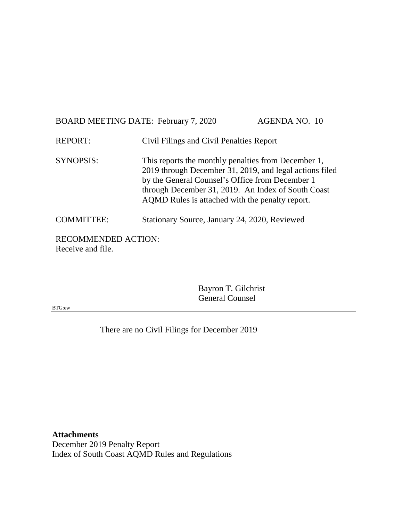| BOARD MEETING DATE: February 7, 2020 |                                                                                                                                                                                                                                                                            | <b>AGENDA NO. 10</b> |
|--------------------------------------|----------------------------------------------------------------------------------------------------------------------------------------------------------------------------------------------------------------------------------------------------------------------------|----------------------|
| <b>REPORT:</b>                       | Civil Filings and Civil Penalties Report                                                                                                                                                                                                                                   |                      |
| <b>SYNOPSIS:</b>                     | This reports the monthly penalties from December 1,<br>2019 through December 31, 2019, and legal actions filed<br>by the General Counsel's Office from December 1<br>through December 31, 2019. An Index of South Coast<br>AQMD Rules is attached with the penalty report. |                      |
| <b>COMMITTEE:</b>                    | Stationary Source, January 24, 2020, Reviewed                                                                                                                                                                                                                              |                      |
| <b>RECOMMENDED ACTION:</b>           |                                                                                                                                                                                                                                                                            |                      |

Receive and file.

Bayron T. Gilchrist General Counsel

BTG:ew

There are no Civil Filings for December 2019

**Attachments** December 2019 Penalty Report Index of South Coast AQMD Rules and Regulations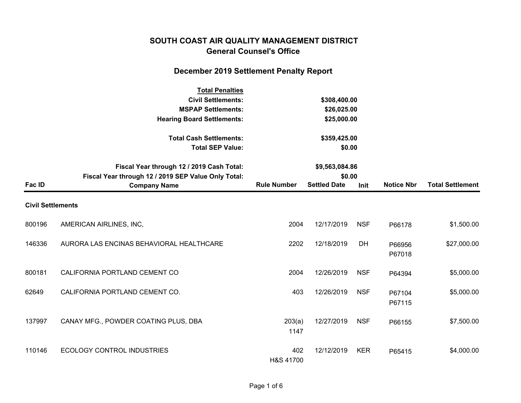## **SOUTH COAST AIR QUALITY MANAGEMENT DISTRICT General Counsel's Office**

# **December 2019 Settlement Penalty Report**

|                          | <b>Total Penalties</b><br><b>Civil Settlements:</b><br><b>MSPAP Settlements:</b><br><b>Hearing Board Settlements:</b>   |                        | \$308,400.00<br>\$26,025.00<br>\$25,000.00      |            |                   |                         |
|--------------------------|-------------------------------------------------------------------------------------------------------------------------|------------------------|-------------------------------------------------|------------|-------------------|-------------------------|
|                          | <b>Total Cash Settlements:</b><br><b>Total SEP Value:</b>                                                               | \$359,425.00<br>\$0.00 |                                                 |            |                   |                         |
| Fac ID                   | Fiscal Year through 12 / 2019 Cash Total:<br>Fiscal Year through 12 / 2019 SEP Value Only Total:<br><b>Company Name</b> | <b>Rule Number</b>     | \$9,563,084.86<br>\$0.00<br><b>Settled Date</b> | Init       | <b>Notice Nbr</b> | <b>Total Settlement</b> |
| <b>Civil Settlements</b> |                                                                                                                         |                        |                                                 |            |                   |                         |
| 800196                   | AMERICAN AIRLINES, INC,                                                                                                 | 2004                   | 12/17/2019                                      | <b>NSF</b> | P66178            | \$1,500.00              |
| 146336                   | AURORA LAS ENCINAS BEHAVIORAL HEALTHCARE                                                                                | 2202                   | 12/18/2019                                      | <b>DH</b>  | P66956<br>P67018  | \$27,000.00             |
| 800181                   | CALIFORNIA PORTLAND CEMENT CO                                                                                           | 2004                   | 12/26/2019                                      | <b>NSF</b> | P64394            | \$5,000.00              |
| 62649                    | CALIFORNIA PORTLAND CEMENT CO.                                                                                          | 403                    | 12/26/2019                                      | <b>NSF</b> | P67104<br>P67115  | \$5,000.00              |
| 137997                   | CANAY MFG., POWDER COATING PLUS, DBA                                                                                    | 203(a)<br>1147         | 12/27/2019                                      | <b>NSF</b> | P66155            | \$7,500.00              |
| 110146                   | <b>ECOLOGY CONTROL INDUSTRIES</b>                                                                                       | 402<br>H&S 41700       | 12/12/2019                                      | <b>KER</b> | P65415            | \$4,000.00              |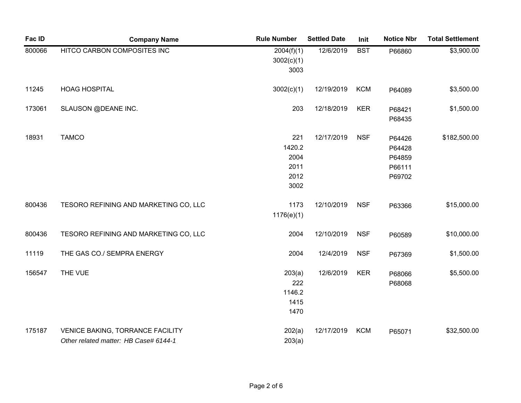| Fac ID | <b>Company Name</b>                                                              | <b>Rule Number</b>                            | <b>Settled Date</b> | Init       | <b>Notice Nbr</b>                              | <b>Total Settlement</b> |
|--------|----------------------------------------------------------------------------------|-----------------------------------------------|---------------------|------------|------------------------------------------------|-------------------------|
| 800066 | HITCO CARBON COMPOSITES INC                                                      | 2004(f)(1)<br>3002(c)(1)<br>3003              | 12/6/2019           | <b>BST</b> | P66860                                         | \$3,900.00              |
| 11245  | <b>HOAG HOSPITAL</b>                                                             | 3002(c)(1)                                    | 12/19/2019          | <b>KCM</b> | P64089                                         | \$3,500.00              |
| 173061 | SLAUSON @DEANE INC.                                                              | 203                                           | 12/18/2019          | <b>KER</b> | P68421<br>P68435                               | \$1,500.00              |
| 18931  | <b>TAMCO</b>                                                                     | 221<br>1420.2<br>2004<br>2011<br>2012<br>3002 | 12/17/2019          | <b>NSF</b> | P64426<br>P64428<br>P64859<br>P66111<br>P69702 | \$182,500.00            |
| 800436 | TESORO REFINING AND MARKETING CO, LLC                                            | 1173<br>1176(e)(1)                            | 12/10/2019          | <b>NSF</b> | P63366                                         | \$15,000.00             |
| 800436 | TESORO REFINING AND MARKETING CO, LLC                                            | 2004                                          | 12/10/2019          | <b>NSF</b> | P60589                                         | \$10,000.00             |
| 11119  | THE GAS CO./ SEMPRA ENERGY                                                       | 2004                                          | 12/4/2019           | <b>NSF</b> | P67369                                         | \$1,500.00              |
| 156547 | THE VUE                                                                          | 203(a)<br>222<br>1146.2<br>1415<br>1470       | 12/6/2019           | <b>KER</b> | P68066<br>P68068                               | \$5,500.00              |
| 175187 | <b>VENICE BAKING, TORRANCE FACILITY</b><br>Other related matter: HB Case# 6144-1 | 202(a)<br>203(a)                              | 12/17/2019          | <b>KCM</b> | P65071                                         | \$32,500.00             |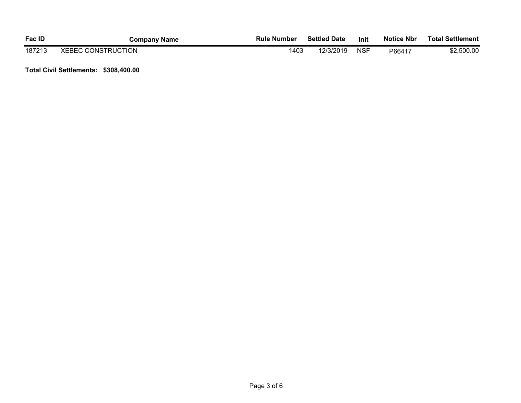| <b>Fac ID</b> | <b>Company Name</b>       | <b>Rule Number</b> | <b>Settled Date</b> | Init       | <b>Notice Nbr</b> | <b>Total Settlement</b> |
|---------------|---------------------------|--------------------|---------------------|------------|-------------------|-------------------------|
| 187213        | <b>XEBEC CONSTRUCTION</b> | 1403               | 12/3/2019           | <b>NSF</b> | P66417            | \$2,500.00              |

**Total Civil Settlements: \$308,400.00**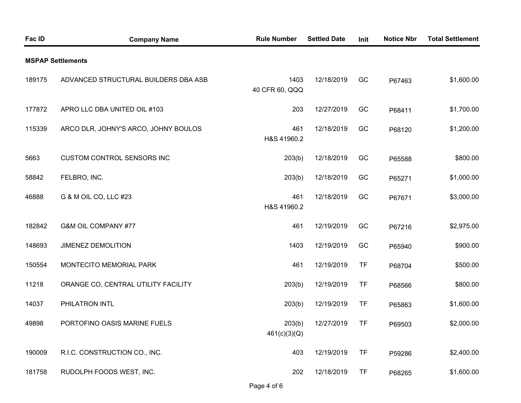| Fac ID | <b>Company Name</b>                  | <b>Rule Number</b>     | <b>Settled Date</b> | Init      | <b>Notice Nbr</b> | <b>Total Settlement</b> |
|--------|--------------------------------------|------------------------|---------------------|-----------|-------------------|-------------------------|
|        | <b>MSPAP Settlements</b>             |                        |                     |           |                   |                         |
| 189175 | ADVANCED STRUCTURAL BUILDERS DBA ASB | 1403<br>40 CFR 60, QQQ | 12/18/2019          | GC        | P67463            | \$1,600.00              |
| 177872 | APRO LLC DBA UNITED OIL #103         | 203                    | 12/27/2019          | GC        | P68411            | \$1,700.00              |
| 115339 | ARCO DLR, JOHNY'S ARCO, JOHNY BOULOS | 461<br>H&S 41960.2     | 12/18/2019          | GC        | P68120            | \$1,200.00              |
| 5663   | <b>CUSTOM CONTROL SENSORS INC</b>    | 203(b)                 | 12/18/2019          | GC        | P65588            | \$800.00                |
| 58842  | FELBRO, INC.                         | 203(b)                 | 12/18/2019          | GC        | P65271            | \$1,000.00              |
| 46888  | G & M OIL CO, LLC #23                | 461<br>H&S 41960.2     | 12/18/2019          | GC        | P67671            | \$3,000.00              |
| 182842 | G&M OIL COMPANY #77                  | 461                    | 12/19/2019          | GC        | P67216            | \$2,975.00              |
| 148693 | JIMENEZ DEMOLITION                   | 1403                   | 12/19/2019          | GC        | P65940            | \$900.00                |
| 150554 | MONTECITO MEMORIAL PARK              | 461                    | 12/19/2019          | <b>TF</b> | P68704            | \$500.00                |
| 11218  | ORANGE CO, CENTRAL UTILITY FACILITY  | 203(b)                 | 12/19/2019          | <b>TF</b> | P68566            | \$800.00                |
| 14037  | PHILATRON INTL                       | 203(b)                 | 12/19/2019          | <b>TF</b> | P65863            | \$1,600.00              |
| 49898  | PORTOFINO OASIS MARINE FUELS         | 203(b)<br>461(c)(3)(Q) | 12/27/2019          | <b>TF</b> | P69503            | \$2,000.00              |
| 190009 | R.I.C. CONSTRUCTION CO., INC.        | 403                    | 12/19/2019          | <b>TF</b> | P59286            | \$2,400.00              |
| 181758 | RUDOLPH FOODS WEST, INC.             | 202                    | 12/18/2019          | <b>TF</b> | P68265            | \$1,600.00              |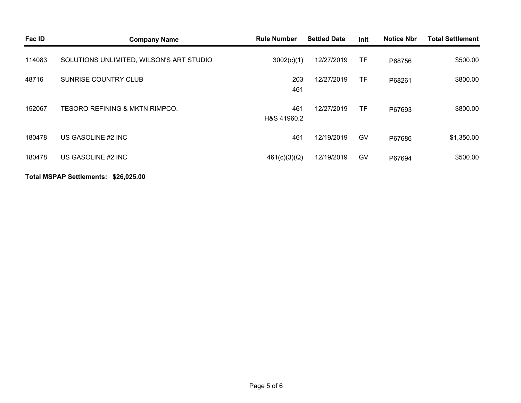| Fac ID | <b>Company Name</b>                       | <b>Rule Number</b> | <b>Settled Date</b> | Init      | <b>Notice Nbr</b> | <b>Total Settlement</b> |
|--------|-------------------------------------------|--------------------|---------------------|-----------|-------------------|-------------------------|
| 114083 | SOLUTIONS UNLIMITED, WILSON'S ART STUDIO  | 3002(c)(1)         | 12/27/2019          | <b>TF</b> | P68756            | \$500.00                |
| 48716  | SUNRISE COUNTRY CLUB                      | 203<br>461         | 12/27/2019          | <b>TF</b> | P68261            | \$800.00                |
| 152067 | <b>TESORO REFINING &amp; MKTN RIMPCO.</b> | 461<br>H&S 41960.2 | 12/27/2019          | <b>TF</b> | P67693            | \$800.00                |
| 180478 | US GASOLINE #2 INC                        | 461                | 12/19/2019          | GV        | P67686            | \$1,350.00              |
| 180478 | US GASOLINE #2 INC                        | 461(c)(3)(Q)       | 12/19/2019          | GV        | P67694            | \$500.00                |
|        |                                           |                    |                     |           |                   |                         |

#### **Total MSPAP Settlements: \$26,025.00**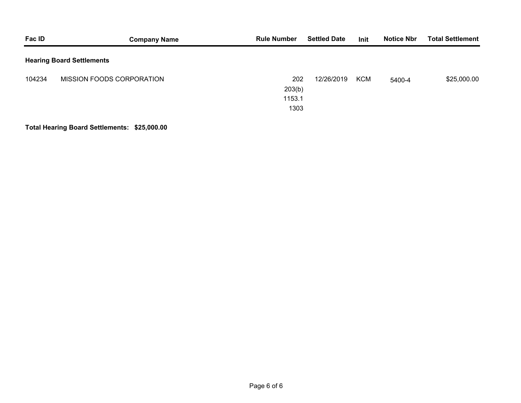| Fac ID | <b>Company Name</b>              | <b>Rule Number</b>              | <b>Settled Date</b> | Init       | <b>Notice Nbr</b> | <b>Total Settlement</b> |
|--------|----------------------------------|---------------------------------|---------------------|------------|-------------------|-------------------------|
|        | <b>Hearing Board Settlements</b> |                                 |                     |            |                   |                         |
| 104234 | MISSION FOODS CORPORATION        | 202<br>203(b)<br>1153.1<br>1303 | 12/26/2019          | <b>KCM</b> | 5400-4            | \$25,000.00             |

## **Total Hearing Board Settlements: \$25,000.00**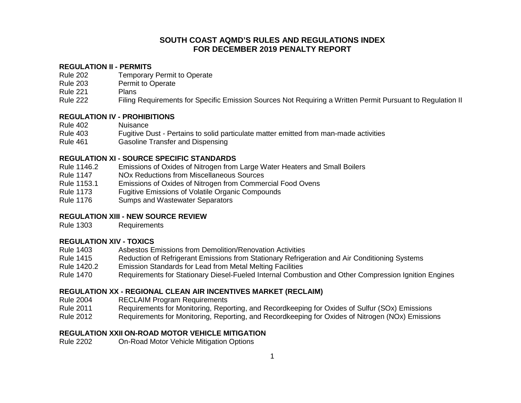### **SOUTH COAST AQMD'S RULES AND REGULATIONS INDEX FOR DECEMBER 2019 PENALTY REPORT**

#### **REGULATION II - PERMITS**

- Rule 202 Temporary Permit to Operate
- Rule 203 Permit to Operate
- Rule 221 Plans
- Rule 222 Filing Requirements for Specific Emission Sources Not Requiring a Written Permit Pursuant to Regulation II

#### **REGULATION IV - PROHIBITIONS**

- Rule 402 Nuisance
- Rule 403 Fugitive Dust *-* Pertains to solid particulate matter emitted from man-made activities
- Rule 461 Gasoline Transfer and Dispensing

#### **REGULATION XI - SOURCE SPECIFIC STANDARDS**

- Rule 1146.2 Emissions of Oxides of Nitrogen from Large Water Heaters and Small Boilers
- Rule 1147 NOx Reductions from Miscellaneous Sources
- Rule 1153.1 Emissions of Oxides of Nitrogen from Commercial Food Ovens
- Rule 1173 Fugitive Emissions of Volatile Organic Compounds
- Rule 1176 Sumps and Wastewater Separators

#### **REGULATION XIII - NEW SOURCE REVIEW**

Rule 1303 Requirements

#### **REGULATION XIV - TOXICS**

- Rule 1403 Asbestos Emissions from Demolition/Renovation Activities
- Rule 1415 Reduction of Refrigerant Emissions from Stationary Refrigeration and Air Conditioning Systems
- Rule 1420.2 Emission Standards for Lead from Metal Melting Facilities
- Rule 1470 Requirements for Stationary Diesel-Fueled Internal Combustion and Other Compression Ignition Engines

#### **REGULATION XX - REGIONAL CLEAN AIR INCENTIVES MARKET (RECLAIM)**

- Rule 2004 RECLAIM Program Requirements
- Rule 2011 Requirements for Monitoring, Reporting, and Recordkeeping for Oxides of Sulfur (SOx) Emissions
- Rule 2012 Requirements for Monitoring, Reporting, and Recordkeeping for Oxides of Nitrogen (NOx) Emissions

#### **REGULATION XXII ON-ROAD MOTOR VEHICLE MITIGATION**

Rule 2202 On-Road Motor Vehicle Mitigation Options